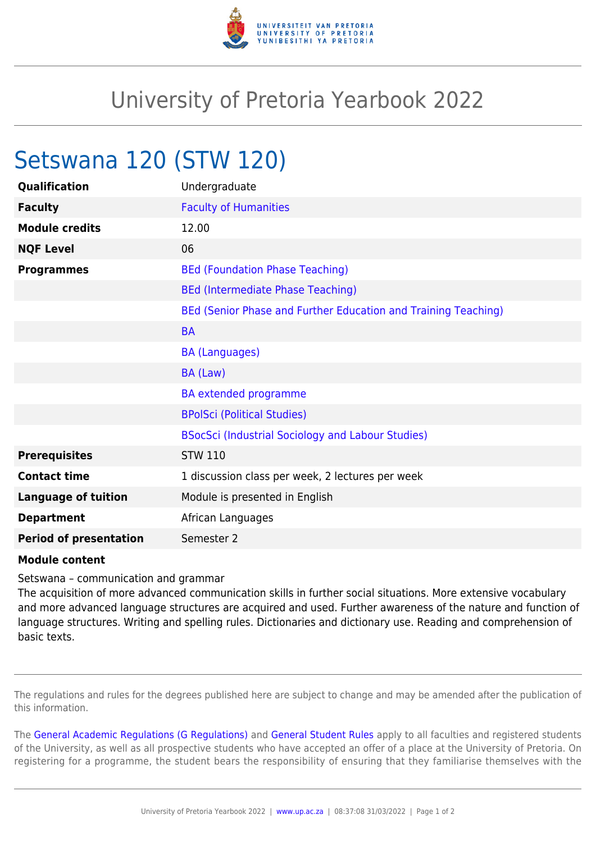

## University of Pretoria Yearbook 2022

## Setswana 120 (STW 120)

| Qualification                 | Undergraduate                                                  |
|-------------------------------|----------------------------------------------------------------|
| <b>Faculty</b>                | <b>Faculty of Humanities</b>                                   |
| <b>Module credits</b>         | 12.00                                                          |
| <b>NQF Level</b>              | 06                                                             |
| <b>Programmes</b>             | <b>BEd (Foundation Phase Teaching)</b>                         |
|                               | <b>BEd (Intermediate Phase Teaching)</b>                       |
|                               | BEd (Senior Phase and Further Education and Training Teaching) |
|                               | <b>BA</b>                                                      |
|                               | <b>BA (Languages)</b>                                          |
|                               | BA (Law)                                                       |
|                               | <b>BA</b> extended programme                                   |
|                               | <b>BPolSci (Political Studies)</b>                             |
|                               | BSocSci (Industrial Sociology and Labour Studies)              |
| <b>Prerequisites</b>          | <b>STW 110</b>                                                 |
| <b>Contact time</b>           | 1 discussion class per week, 2 lectures per week               |
| <b>Language of tuition</b>    | Module is presented in English                                 |
| <b>Department</b>             | African Languages                                              |
| <b>Period of presentation</b> | Semester 2                                                     |

## **Module content**

Setswana – communication and grammar

The acquisition of more advanced communication skills in further social situations. More extensive vocabulary and more advanced language structures are acquired and used. Further awareness of the nature and function of language structures. Writing and spelling rules. Dictionaries and dictionary use. Reading and comprehension of basic texts.

The regulations and rules for the degrees published here are subject to change and may be amended after the publication of this information.

The [General Academic Regulations \(G Regulations\)](https://www.up.ac.za/mechanical-and-aeronautical-engineering/yearbooks/2022/rules/view/REG) and [General Student Rules](https://www.up.ac.za/mechanical-and-aeronautical-engineering/yearbooks/2022/rules/view/RUL) apply to all faculties and registered students of the University, as well as all prospective students who have accepted an offer of a place at the University of Pretoria. On registering for a programme, the student bears the responsibility of ensuring that they familiarise themselves with the